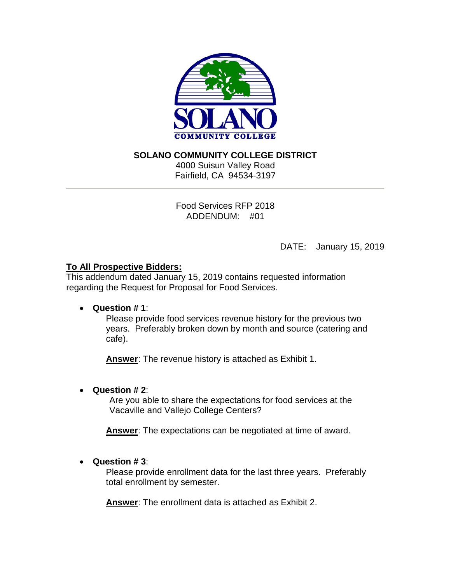

## **SOLANO COMMUNITY COLLEGE DISTRICT**

4000 Suisun Valley Road Fairfield, CA 94534-3197

Food Services RFP 2018 ADDENDUM: #01

DATE: January 15, 2019

## **To All Prospective Bidders:**

This addendum dated January 15, 2019 contains requested information regarding the Request for Proposal for Food Services.

### • **Question # 1**:

Please provide food services revenue history for the previous two years. Preferably broken down by month and source (catering and cafe).

**Answer**: The revenue history is attached as Exhibit 1.

# • **Question # 2**:

Are you able to share the expectations for food services at the Vacaville and Vallejo College Centers?

**Answer**: The expectations can be negotiated at time of award.

# • **Question # 3**:

Please provide enrollment data for the last three years. Preferably total enrollment by semester.

**Answer**: The enrollment data is attached as Exhibit 2.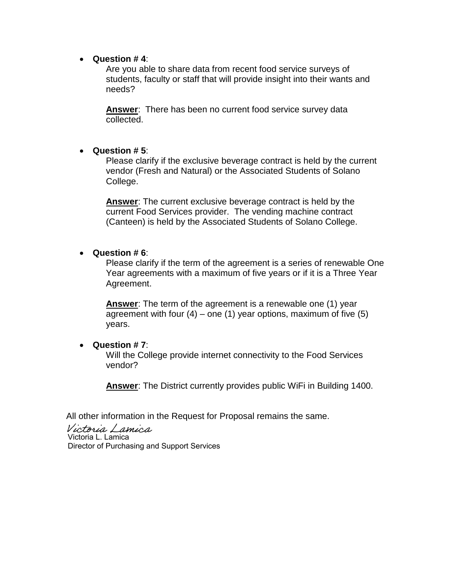#### • **Question # 4**:

Are you able to share data from recent food service surveys of students, faculty or staff that will provide insight into their wants and needs?

**Answer**: There has been no current food service survey data collected.

### • **Question # 5**:

Please clarify if the exclusive beverage contract is held by the current vendor (Fresh and Natural) or the Associated Students of Solano College.

**Answer**: The current exclusive beverage contract is held by the current Food Services provider. The vending machine contract (Canteen) is held by the Associated Students of Solano College.

#### • **Question # 6**:

Please clarify if the term of the agreement is a series of renewable One Year agreements with a maximum of five years or if it is a Three Year Agreement.

**Answer**: The term of the agreement is a renewable one (1) year agreement with four  $(4)$  – one  $(1)$  year options, maximum of five  $(5)$ years.

#### • **Question # 7**:

Will the College provide internet connectivity to the Food Services vendor?

**Answer**: The District currently provides public WiFi in Building 1400.

All other information in the Request for Proposal remains the same.

Victoria Lamica Victoria L. Lamica Director of Purchasing and Support Services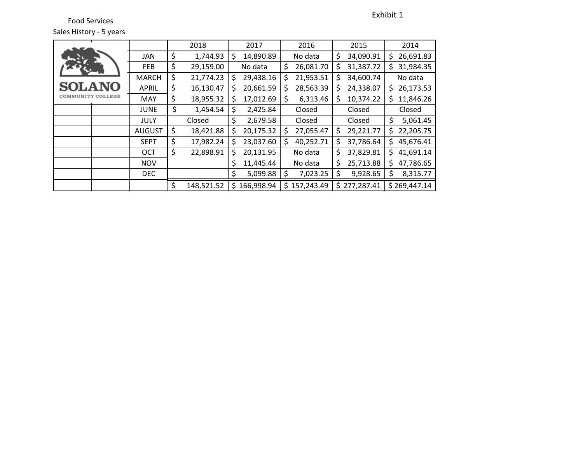Food Services Sales History - 5 years

|                   |               | 2018             | 2017             |    | 2016       |    | 2015         |    | 2014         |
|-------------------|---------------|------------------|------------------|----|------------|----|--------------|----|--------------|
|                   | <b>JAN</b>    | \$<br>1,744.93   | \$<br>14,890.89  |    | No data    | \$ | 34,090.91    | \$ | 26,691.83    |
|                   | <b>FEB</b>    | \$<br>29,159.00  | No data          | \$ | 26,081.70  | S  | 31,387.72    | Ś  | 31,984.35    |
|                   | <b>MARCH</b>  | \$<br>21,774.23  | \$<br>29,438.16  | \$ | 21,953.51  |    | 34,600.74    |    | No data      |
| <b>SOLANO</b>     | <b>APRIL</b>  | \$<br>16,130.47  | \$<br>20,661.59  | \$ | 28,563.39  |    | 24,338.07    | S  | 26,173.53    |
| COMMUNITY COLLEGE | <b>MAY</b>    | \$<br>18,955.32  | \$<br>17,012.69  | \$ | 6,313.46   | S  | 10,374.22    | Ś  | 11,846.26    |
|                   | <b>JUNE</b>   | \$<br>1,454.54   | \$<br>2,425.84   |    | Closed     |    | Closed       |    | Closed       |
|                   | <b>JULY</b>   | Closed           | \$<br>2,679.58   |    | Closed     |    | Closed       | \$ | 5,061.45     |
|                   | <b>AUGUST</b> | \$<br>18,421.88  | \$<br>20,175.32  | \$ | 27,055.47  | \$ | 29,221.77    | \$ | 22,205.75    |
|                   | <b>SEPT</b>   | \$<br>17,982.24  | \$<br>23,037.60  | Ś  | 40,252.71  | S  | 37,786.64    | \$ | 45,676.41    |
|                   | OCT           | \$<br>22,898.91  | \$<br>20,131.95  |    | No data    | \$ | 37,829.81    | \$ | 41,691.14    |
|                   | <b>NOV</b>    |                  | \$<br>11,445.44  |    | No data    | \$ | 25,713.88    | \$ | 47,786.65    |
|                   | DEC           |                  | \$<br>5,099.88   | S  | 7,023.25   | \$ | 9,928.65     | \$ | 8,315.77     |
|                   |               | \$<br>148,521.52 | \$<br>166,998.94 | Ś. | 157,243.49 |    | \$277,287.41 |    | \$269,447.14 |